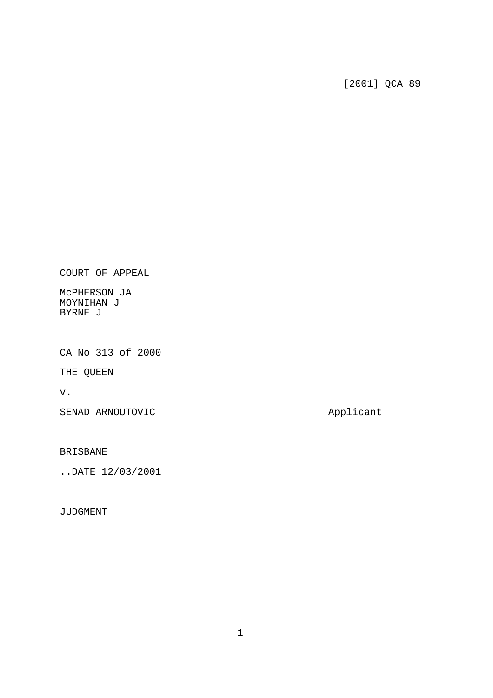[2001] QCA 89

COURT OF APPEAL

McPHERSON JA MOYNIHAN J BYRNE J

CA No 313 of 2000

THE QUEEN

v.

SENAD ARNOUTOVIC and applicant

BRISBANE

..DATE 12/03/2001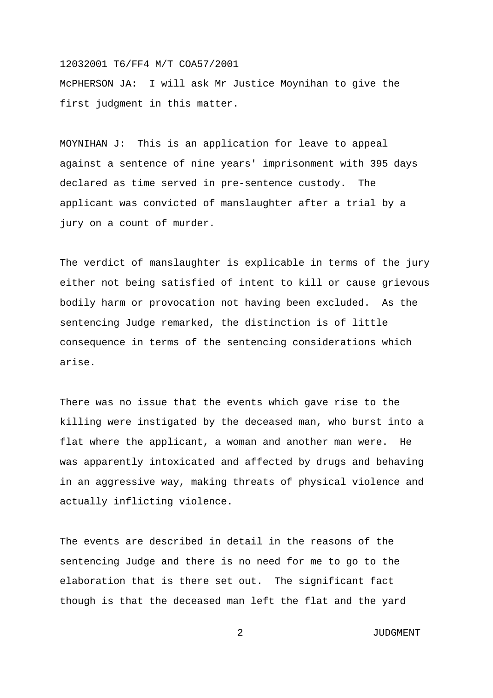McPHERSON JA: I will ask Mr Justice Moynihan to give the first judgment in this matter.

MOYNIHAN J: This is an application for leave to appeal against a sentence of nine years' imprisonment with 395 days declared as time served in pre-sentence custody. The applicant was convicted of manslaughter after a trial by a jury on a count of murder.

The verdict of manslaughter is explicable in terms of the jury either not being satisfied of intent to kill or cause grievous bodily harm or provocation not having been excluded. As the sentencing Judge remarked, the distinction is of little consequence in terms of the sentencing considerations which arise.

There was no issue that the events which gave rise to the killing were instigated by the deceased man, who burst into a flat where the applicant, a woman and another man were. He was apparently intoxicated and affected by drugs and behaving in an aggressive way, making threats of physical violence and actually inflicting violence.

The events are described in detail in the reasons of the sentencing Judge and there is no need for me to go to the elaboration that is there set out. The significant fact though is that the deceased man left the flat and the yard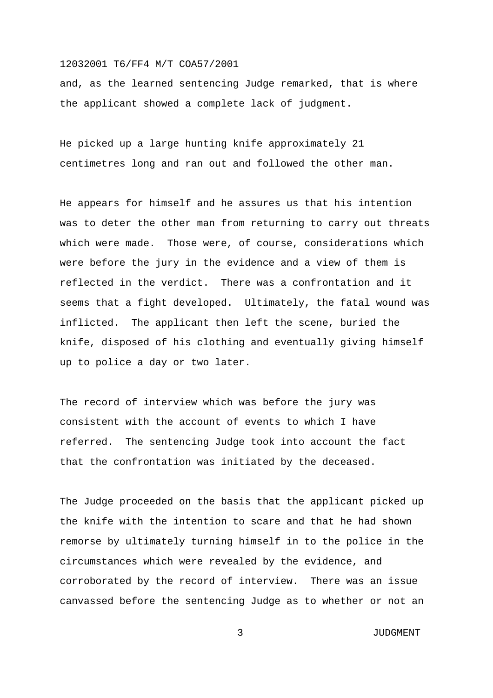and, as the learned sentencing Judge remarked, that is where the applicant showed a complete lack of judgment.

He picked up a large hunting knife approximately 21 centimetres long and ran out and followed the other man.

He appears for himself and he assures us that his intention was to deter the other man from returning to carry out threats which were made. Those were, of course, considerations which were before the jury in the evidence and a view of them is reflected in the verdict. There was a confrontation and it seems that a fight developed. Ultimately, the fatal wound was inflicted. The applicant then left the scene, buried the knife, disposed of his clothing and eventually giving himself up to police a day or two later.

The record of interview which was before the jury was consistent with the account of events to which I have referred. The sentencing Judge took into account the fact that the confrontation was initiated by the deceased.

The Judge proceeded on the basis that the applicant picked up the knife with the intention to scare and that he had shown remorse by ultimately turning himself in to the police in the circumstances which were revealed by the evidence, and corroborated by the record of interview. There was an issue canvassed before the sentencing Judge as to whether or not an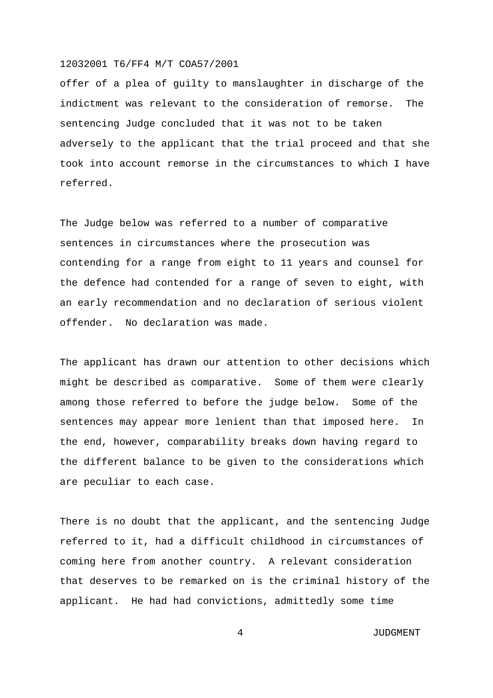offer of a plea of guilty to manslaughter in discharge of the indictment was relevant to the consideration of remorse. The sentencing Judge concluded that it was not to be taken adversely to the applicant that the trial proceed and that she took into account remorse in the circumstances to which I have referred.

The Judge below was referred to a number of comparative sentences in circumstances where the prosecution was contending for a range from eight to 11 years and counsel for the defence had contended for a range of seven to eight, with an early recommendation and no declaration of serious violent offender. No declaration was made.

The applicant has drawn our attention to other decisions which might be described as comparative. Some of them were clearly among those referred to before the judge below. Some of the sentences may appear more lenient than that imposed here. In the end, however, comparability breaks down having regard to the different balance to be given to the considerations which are peculiar to each case.

There is no doubt that the applicant, and the sentencing Judge referred to it, had a difficult childhood in circumstances of coming here from another country. A relevant consideration that deserves to be remarked on is the criminal history of the applicant. He had had convictions, admittedly some time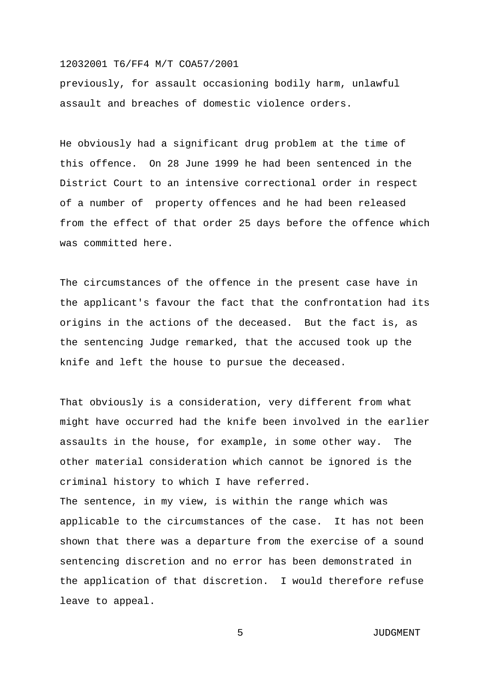previously, for assault occasioning bodily harm, unlawful assault and breaches of domestic violence orders.

He obviously had a significant drug problem at the time of this offence. On 28 June 1999 he had been sentenced in the District Court to an intensive correctional order in respect of a number of property offences and he had been released from the effect of that order 25 days before the offence which was committed here.

The circumstances of the offence in the present case have in the applicant's favour the fact that the confrontation had its origins in the actions of the deceased. But the fact is, as the sentencing Judge remarked, that the accused took up the knife and left the house to pursue the deceased.

That obviously is a consideration, very different from what might have occurred had the knife been involved in the earlier assaults in the house, for example, in some other way. The other material consideration which cannot be ignored is the criminal history to which I have referred. The sentence, in my view, is within the range which was applicable to the circumstances of the case. It has not been shown that there was a departure from the exercise of a sound sentencing discretion and no error has been demonstrated in the application of that discretion. I would therefore refuse leave to appeal.